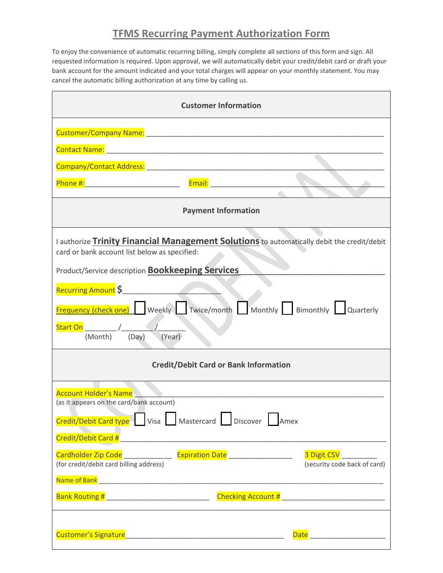## **TFMS Recurring Payment Authorization Form**

To enjoy the convenience of automatic recurring billing, simply complete all sections of this form and sign. All requested information is required. Upon approval, we will automatically debit your credit/debit card or draft your bank account for the amount indicated and your total charges will appear on your monthly statement. You may cancel the automatic billing authorization at any time by calling us.

| <b>Customer Information</b>                                                                                                                                                     |
|---------------------------------------------------------------------------------------------------------------------------------------------------------------------------------|
| Customer/Company Name: Mamerican Company Account Company of the Customer Company of the Customer Company of the                                                                 |
|                                                                                                                                                                                 |
|                                                                                                                                                                                 |
|                                                                                                                                                                                 |
| <b>Payment Information</b>                                                                                                                                                      |
| I authorize Trinity Financial Management Solutions to automatically debit the credit/debit<br>card or bank account list below as specified:                                     |
| Product/Service description <b>Bookkeeping Services</b>                                                                                                                         |
| Recurring Amount \$                                                                                                                                                             |
| <b>Frequency (check one)</b> Weekly Twice/month Monthly Bimonthly Quarterly                                                                                                     |
| (Year)<br>(Month) (Day)                                                                                                                                                         |
| <b>Credit/Debit Card or Bank Information</b>                                                                                                                                    |
| <b>Account Holder's Name</b>                                                                                                                                                    |
| (as it appears on the card/bank account)                                                                                                                                        |
| Credit/Debit Card type Visa Mastercard Discover Amex                                                                                                                            |
| Cardholder Zip Code _________________ Expiration Date ____________________<br>3 Digit CSV __________<br>(security code back of card)<br>(for credit/debit card billing address) |
|                                                                                                                                                                                 |
| Bank Routing # _________________________________                                                                                                                                |
|                                                                                                                                                                                 |